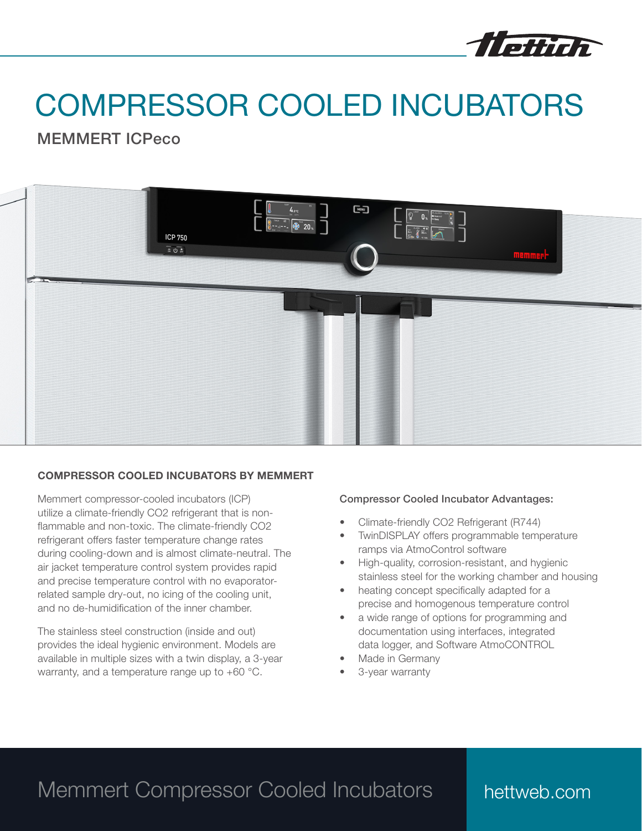

# COMPRESSOR COOLED INCUBATORS

MEMMERT ICPeco



### COMPRESSOR COOLED INCUBATORS BY MEMMERT

Memmert compressor-cooled incubators (ICP) utilize a climate-friendly CO2 refrigerant that is nonflammable and non-toxic. The climate-friendly CO2 refrigerant offers faster temperature change rates during cooling-down and is almost climate-neutral. The air jacket temperature control system provides rapid and precise temperature control with no evaporatorrelated sample dry-out, no icing of the cooling unit, and no de-humidification of the inner chamber.

The stainless steel construction (inside and out) provides the ideal hygienic environment. Models are available in multiple sizes with a twin display, a 3-year warranty, and a temperature range up to +60 °C.

#### Compressor Cooled Incubator Advantages:

- Climate-friendly CO2 Refrigerant (R744)
- TwinDISPLAY offers programmable temperature ramps via AtmoControl software
- High-quality, corrosion-resistant, and hygienic stainless steel for the working chamber and housing
- heating concept specifically adapted for a precise and homogenous temperature control
- a wide range of options for programming and documentation using interfaces, integrated data logger, and Software AtmoCONTROL
- Made in Germany
- 3-year warranty

## Memmert Compressor Cooled Incubators

### hettweb.com